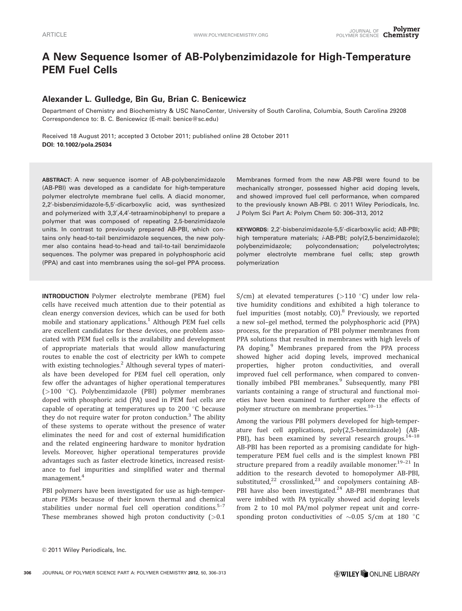# A New Sequence Isomer of AB-Polybenzimidazole for High-Temperature PEM Fuel Cells

# Alexander L. Gulledge, Bin Gu, Brian C. Benicewicz

Department of Chemistry and Biochemistry & USC NanoCenter, University of South Carolina, Columbia, South Carolina 29208 Correspondence to: B. C. Benicewicz (E-mail: benice@sc.edu)

Received 18 August 2011; accepted 3 October 2011; published online 28 October 2011 DOI: 10.1002/pola.25034

ABSTRACT: A new sequence isomer of AB-polybenzimidazole (AB-PBI) was developed as a candidate for high-temperature polymer electrolyte membrane fuel cells. A diacid monomer, 2,2'-bisbenzimidazole-5,5'-dicarboxylic acid, was synthesized and polymerized with 3,3',4,4'-tetraaminobiphenyl to prepare a polymer that was composed of repeating 2,5-benzimidazole units. In contrast to previously prepared AB-PBI, which contains only head-to-tail benzimidazole sequences, the new polymer also contains head-to-head and tail-to-tail benzimidazole sequences. The polymer was prepared in polyphosphoric acid (PPA) and cast into membranes using the sol–gel PPA process.

INTRODUCTION Polymer electrolyte membrane (PEM) fuel cells have received much attention due to their potential as clean energy conversion devices, which can be used for both mobile and stationary applications.<sup>1</sup> Although PEM fuel cells are excellent candidates for these devices, one problem associated with PEM fuel cells is the availability and development of appropriate materials that would allow manufacturing routes to enable the cost of electricity per kWh to compete with existing technologies.<sup>2</sup> Although several types of materials have been developed for PEM fuel cell operation, only few offer the advantages of higher operational temperatures (>100 C). Polybenzimidazole (PBI) polymer membranes doped with phosphoric acid (PA) used in PEM fuel cells are capable of operating at temperatures up to 200  $\degree$ C because they do not require water for proton conduction.<sup>3</sup> The ability of these systems to operate without the presence of water eliminates the need for and cost of external humidification and the related engineering hardware to monitor hydration levels. Moreover, higher operational temperatures provide advantages such as faster electrode kinetics, increased resistance to fuel impurities and simplified water and thermal management.<sup>4</sup>

PBI polymers have been investigated for use as high-temperature PEMs because of their known thermal and chemical stabilities under normal fuel cell operation conditions.<sup>5-7</sup> These membranes showed high proton conductivity  $(>0.1)$ 

Membranes formed from the new AB-PBI were found to be mechanically stronger, possessed higher acid doping levels, and showed improved fuel cell performance, when compared to the previously known AB-PBI. © 2011 Wiley Periodicals, Inc. J Polym Sci Part A: Polym Chem 50: 306–313, 2012

KEYWORDS: 2,2'-bisbenzimidazole-5,5'-dicarboxylic acid; AB-PBI; high temperature materials; i-AB-PBI; poly(2,5-benzimidazole); polybenzimidazole; polycondensation; polyelectrolytes; polymer electrolyte membrane fuel cells; step growth polymerization

S/cm) at elevated temperatures ( $>$ 110 °C) under low relative humidity conditions and exhibited a high tolerance to fuel impurities (most notably, CO). $8$  Previously, we reported a new sol–gel method, termed the polyphosphoric acid (PPA) process, for the preparation of PBI polymer membranes from PPA solutions that resulted in membranes with high levels of PA doping.<sup>9</sup> Membranes prepared from the PPA process showed higher acid doping levels, improved mechanical properties, higher proton conductivities, and overall improved fuel cell performance, when compared to conventionally imbibed PBI membranes.<sup>9</sup> Subsequently, many PBI variants containing a range of structural and functional moieties have been examined to further explore the effects of polymer structure on membrane properties.<sup>10-13</sup>

Among the various PBI polymers developed for high-temperature fuel cell applications, poly(2,5-benzimidazole) (AB-PBI), has been examined by several research groups.<sup>14-18</sup> AB-PBI has been reported as a promising candidate for hightemperature PEM fuel cells and is the simplest known PBI structure prepared from a readily available monomer.<sup>19-21</sup> In addition to the research devoted to homopolymer AB-PBI, substituted, $22$  crosslinked, $23$  and copolymers containing AB-PBI have also been investigated. $24$  AB-PBI membranes that were imbibed with PA typically showed acid doping levels from 2 to 10 mol PA/mol polymer repeat unit and corresponding proton conductivities of  $\sim 0.05$  S/cm at 180  $^{\circ}$ C

 $©$  2011 Wiley Periodicals, Inc.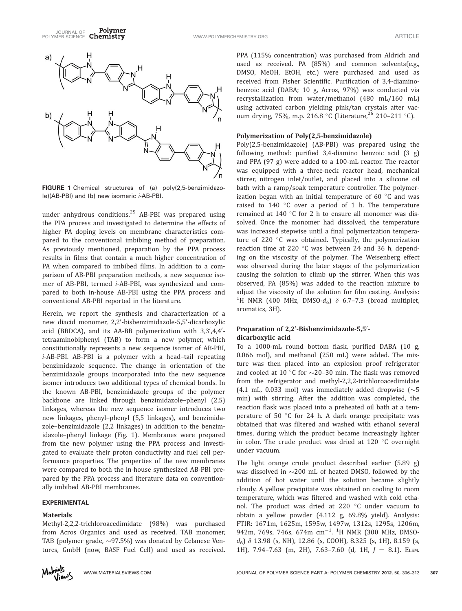

FIGURE 1 Chemical structures of (a) poly(2,5-benzimidazole)(AB-PBI) and (b) new isomeric i-AB-PBI.

under anhydrous conditions.<sup>25</sup> AB-PBI was prepared using the PPA process and investigated to determine the effects of higher PA doping levels on membrane characteristics compared to the conventional imbibing method of preparation. As previously mentioned, preparation by the PPA process results in films that contain a much higher concentration of PA when compared to imbibed films. In addition to a comparison of AB-PBI preparation methods, a new sequence isomer of AB-PBI, termed i-AB-PBI, was synthesized and compared to both in-house AB-PBI using the PPA process and conventional AB-PBI reported in the literature.

Herein, we report the synthesis and characterization of a new diacid monomer, 2,2'-bisbenzimidazole-5,5'-dicarboxylic acid (BBDCA), and its AA-BB polymerization with 3,3',4,4'tetraaminobiphenyl (TAB) to form a new polymer, which constitutionally represents a new sequence isomer of AB-PBI, i-AB-PBI. AB-PBI is a polymer with a head–tail repeating benzimidazole sequence. The change in orientation of the benzimidazole groups incorporated into the new sequence isomer introduces two additional types of chemical bonds. In the known AB-PBI, benzimidazole groups of the polymer backbone are linked through benzimidazole–phenyl (2,5) linkages, whereas the new sequence isomer introduces two new linkages, phenyl–phenyl (5,5 linkages), and benzimidazole–benzimidazole (2,2 linkages) in addition to the benzimidazole–phenyl linkage (Fig. 1). Membranes were prepared from the new polymer using the PPA process and investigated to evaluate their proton conductivity and fuel cell performance properties. The properties of the new membranes were compared to both the in-house synthesized AB-PBI prepared by the PPA process and literature data on conventionally imbibed AB-PBI membranes.

# EXPERIMENTAL

#### **Materials**

Methyl-2,2,2-trichloroacedimidate (98%) was purchased from Acros Organics and used as received. TAB monomer, TAB (polymer grade,  $\sim$ 97.5%) was donated by Celanese Ventures, GmbH (now, BASF Fuel Cell) and used as received.



PPA (115% concentration) was purchased from Aldrich and used as received. PA (85%) and common solvents(e.g., DMSO, MeOH, EtOH, etc.) were purchased and used as received from Fisher Scientific. Purification of 3,4-diaminobenzoic acid (DABA; 10 g, Acros, 97%) was conducted via recrystallization from water/methanol (480 mL/160 mL) using activated carbon yielding pink/tan crystals after vacuum drying, 75%, m.p. 216.8 °C (Literature,  $^{26}$  210–211 °C).

## Polymerization of Poly(2,5-benzimidazole)

Poly(2,5-benzimidazole) (AB-PBI) was prepared using the following method: purified 3,4-diamino benzoic acid (3 g) and PPA (97 g) were added to a 100-mL reactor. The reactor was equipped with a three-neck reactor head, mechanical stirrer, nitrogen inlet/outlet, and placed into a silicone oil bath with a ramp/soak temperature controller. The polymerization began with an initial temperature of  $60^{\circ}$ C and was raised to  $140$  °C over a period of 1 h. The temperature remained at 140 $\degree$ C for 2 h to ensure all monomer was dissolved. Once the monomer had dissolved, the temperature was increased stepwise until a final polymerization temperature of 220  $\degree$ C was obtained. Typically, the polymerization reaction time at 220 $\degree$ C was between 24 and 36 h, depending on the viscosity of the polymer. The Weisenberg effect was observed during the later stages of the polymerization causing the solution to climb up the stirrer. When this was observed, PA (85%) was added to the reaction mixture to adjust the viscosity of the solution for film casting. Analysis: <sup>1</sup>H NMR (400 MHz, DMSO- $d_6$ )  $\delta$  6.7-7.3 (broad multiplet, aromatics, 3H).

# Preparation of 2,2'-Bisbenzimidazole-5,5'dicarboxylic acid

To a 1000-mL round bottom flask, purified DABA (10 g, 0.066 mol), and methanol (250 mL) were added. The mixture was then placed into an explosion proof refrigerator and cooled at 10 °C for  $\sim$ 20–30 min. The flask was removed from the refrigerator and methyl-2,2,2-trichloroacedimidate  $(4.1 \text{ mL}, 0.033 \text{ mol})$  was immediately added dropwise  $(\sim 5)$ min) with stirring. After the addition was completed, the reaction flask was placed into a preheated oil bath at a temperature of 50  $\degree$ C for 24 h. A dark orange precipitate was obtained that was filtered and washed with ethanol several times, during which the product became increasingly lighter in color. The crude product was dried at  $120^{\circ}$ C overnight under vacuum.

The light orange crude product described earlier (5.89 g) was dissolved in  $\sim$ 200 mL of heated DMSO, followed by the addition of hot water until the solution became slightly cloudy. A yellow precipitate was obtained on cooling to room temperature, which was filtered and washed with cold ethanol. The product was dried at 220  $\degree$ C under vacuum to obtain a yellow powder (4.112 g, 69.8% yield). Analysis: FTIR: 1671m, 1625m, 1595w, 1497w, 1312s, 1295s, 1206m, 942m, 769s, 746s, 674m cm $^{-1}$ .  $^{1}$ H NMR (300 MHz, DMSO $d_6$ )  $\delta$  13.98 (s, NH), 12.86 (s, COOH), 8.325 (s, 1H), 8.159 (s, 1H), 7.94-7.63 (m, 2H), 7.63-7.60 (d, 1H,  $J = 8.1$ ). ELEM.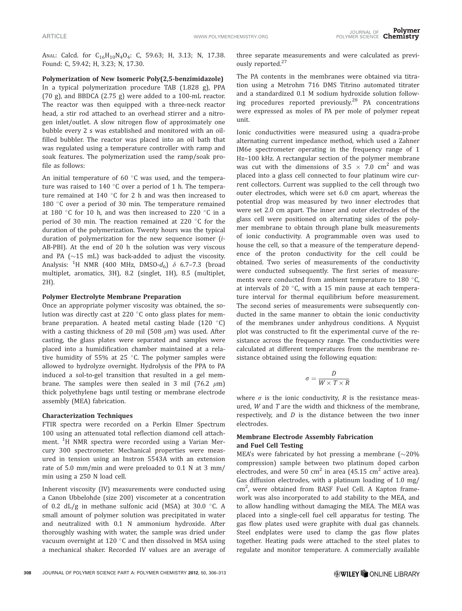ANAL: Calcd. for C<sub>16</sub>H<sub>10</sub>N<sub>4</sub>O<sub>4</sub>: C, 59.63; H, 3.13; N, 17.38. Found: C, 59.42; H, 3.23; N, 17.30.

Polymerization of New Isomeric Poly(2,5-benzimidazole) In a typical polymerization procedure TAB (1.828 g), PPA (70 g), and BBDCA (2.75 g) were added to a 100-mL reactor. The reactor was then equipped with a three-neck reactor head, a stir rod attached to an overhead stirrer and a nitrogen inlet/outlet. A slow nitrogen flow of approximately one bubble every 2 s was established and monitored with an oilfilled bubbler. The reactor was placed into an oil bath that was regulated using a temperature controller with ramp and soak features. The polymerization used the ramp/soak profile as follows:

An initial temperature of 60 $\degree$ C was used, and the temperature was raised to 140  $\degree$ C over a period of 1 h. The temperature remained at 140 $\degree$ C for 2 h and was then increased to 180  $\degree$ C over a period of 30 min. The temperature remained at 180  $\degree$ C for 10 h, and was then increased to 220  $\degree$ C in a period of 30 min. The reaction remained at 220  $\degree$ C for the duration of the polymerization. Twenty hours was the typical duration of polymerization for the new sequence isomer (i-AB-PBI). At the end of 20 h the solution was very viscous and PA  $\left(\sim 15 \text{ mL}\right)$  was back-added to adjust the viscosity. Analysis:  $^{1}$ H NMR (400 MHz, DMSO- $d_{6}$ )  $\delta$  6.7–7.3 (broad multiplet, aromatics, 3H), 8.2 (singlet, 1H), 8.5 (multiplet, 2H).

#### Polymer Electrolyte Membrane Preparation

Once an appropriate polymer viscosity was obtained, the solution was directly cast at 220  $\degree$ C onto glass plates for membrane preparation. A heated metal casting blade  $(120 \degree C)$ with a casting thickness of 20 mil (508  $\mu$ m) was used. After casting, the glass plates were separated and samples were placed into a humidification chamber maintained at a relative humidity of 55% at 25  $\degree$ C. The polymer samples were allowed to hydrolyze overnight. Hydrolysis of the PPA to PA induced a sol-to-gel transition that resulted in a gel membrane. The samples were then sealed in 3 mil (76.2  $\mu$ m) thick polyethylene bags until testing or membrane electrode assembly (MEA) fabrication.

## Characterization Techniques

FTIR spectra were recorded on a Perkin Elmer Spectrum 100 using an attenuated total reflection diamond cell attachment. <sup>1</sup>H NMR spectra were recorded using a Varian Mercury 300 spectrometer. Mechanical properties were measured in tension using an Instron 5543A with an extension rate of 5.0 mm/min and were preloaded to 0.1 N at 3 mm/ min using a 250 N load cell.

Inherent viscosity (IV) measurements were conducted using a Canon Ubbelohde (size 200) viscometer at a concentration of 0.2 dL/g in methane sulfonic acid (MSA) at 30.0  $\degree$ C. A small amount of polymer solution was precipitated in water and neutralized with 0.1 N ammonium hydroxide. After thoroughly washing with water, the sample was dried under vacuum overnight at 120 $\degree$ C and then dissolved in MSA using a mechanical shaker. Recorded IV values are an average of

three separate measurements and were calculated as previously reported.<sup>27</sup>

The PA contents in the membranes were obtained via titration using a Metrohm 716 DMS Titrino automated titrater and a standardized 0.1 M sodium hydroxide solution following procedures reported previously.<sup>28</sup> PA concentrations were expressed as moles of PA per mole of polymer repeat unit.

Ionic conductivities were measured using a quadra-probe alternating current impedance method, which used a Zahner IM6e spectrometer operating in the frequency range of 1 Hz–100 kHz. A rectangular section of the polymer membrane was cut with the dimensions of  $3.5 \times 7.0$  cm<sup>2</sup> and was placed into a glass cell connected to four platinum wire current collectors. Current was supplied to the cell through two outer electrodes, which were set 6.0 cm apart, whereas the potential drop was measured by two inner electrodes that were set 2.0 cm apart. The inner and outer electrodes of the glass cell were positioned on alternating sides of the polymer membrane to obtain through plane bulk measurements of ionic conductivity. A programmable oven was used to house the cell, so that a measure of the temperature dependence of the proton conductivity for the cell could be obtained. Two series of measurements of the conductivity were conducted subsequently. The first series of measurements were conducted from ambient temperature to 180 $^{\circ}$ C, at intervals of 20 $\degree$ C, with a 15 min pause at each temperature interval for thermal equilibrium before measurement. The second series of measurements were subsequently conducted in the same manner to obtain the ionic conductivity of the membranes under anhydrous conditions. A Nyquist plot was constructed to fit the experimental curve of the resistance across the frequency range. The conductivities were calculated at different temperatures from the membrane resistance obtained using the following equation:

$$
\sigma = \frac{D}{W \times T \times R}
$$

where  $\sigma$  is the ionic conductivity, R is the resistance measured, W and T are the width and thickness of the membrane, respectively, and  $D$  is the distance between the two inner electrodes.

# Membrane Electrode Assembly Fabrication and Fuel Cell Testing

MEA's were fabricated by hot pressing a membrane ( $\sim$ 20% compression) sample between two platinum doped carbon electrodes, and were 50  $\text{cm}^2$  in area (45.15  $\text{cm}^2$  active area). Gas diffusion electrodes, with a platinum loading of 1.0 mg/ cm<sup>2</sup>, were obtained from BASF Fuel Cell. A Kapton framework was also incorporated to add stability to the MEA, and to allow handling without damaging the MEA. The MEA was placed into a single-cell fuel cell apparatus for testing. The gas flow plates used were graphite with dual gas channels. Steel endplates were used to clamp the gas flow plates together. Heating pads were attached to the steel plates to regulate and monitor temperature. A commercially available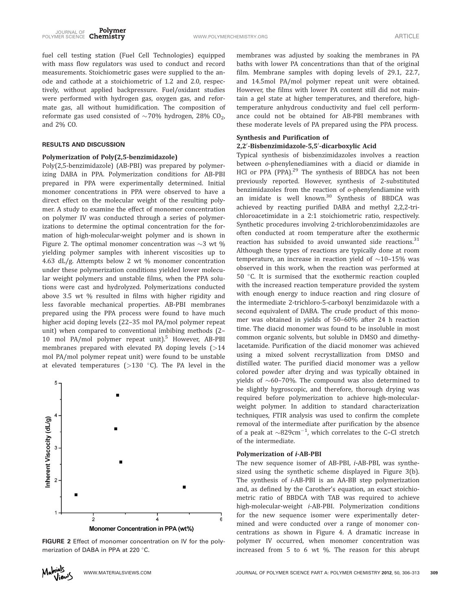fuel cell testing station (Fuel Cell Technologies) equipped with mass flow regulators was used to conduct and record measurements. Stoichiometric gases were supplied to the anode and cathode at a stoichiometric of 1.2 and 2.0, respectively, without applied backpressure. Fuel/oxidant studies were performed with hydrogen gas, oxygen gas, and reformate gas, all without humidification. The composition of reformate gas used consisted of  $\sim$ 70% hydrogen, 28% CO<sub>2</sub>, and 2% CO.

## RESULTS AND DISCUSSION

## Polymerization of Poly(2,5-benzimidazole)

Poly(2,5-benzimidazole) (AB-PBI) was prepared by polymerizing DABA in PPA. Polymerization conditions for AB-PBI prepared in PPA were experimentally determined. Initial monomer concentrations in PPA were observed to have a direct effect on the molecular weight of the resulting polymer. A study to examine the effect of monomer concentration on polymer IV was conducted through a series of polymerizations to determine the optimal concentration for the formation of high-molecular-weight polymer and is shown in Figure 2. The optimal monomer concentration was  $\sim$ 3 wt % yielding polymer samples with inherent viscosities up to 4.63 dL/g. Attempts below 2 wt % monomer concentration under these polymerization conditions yielded lower molecular weight polymers and unstable films, when the PPA solutions were cast and hydrolyzed. Polymerizations conducted above 3.5 wt % resulted in films with higher rigidity and less favorable mechanical properties. AB-PBI membranes prepared using the PPA process were found to have much higher acid doping levels (22–35 mol PA/mol polymer repeat unit) when compared to conventional imbibing methods (2– 10 mol PA/mol polymer repeat unit).<sup>5</sup> However, AB-PBI membranes prepared with elevated PA doping levels (>14 mol PA/mol polymer repeat unit) were found to be unstable at elevated temperatures ( $>130$  °C). The PA level in the



FIGURE 2 Effect of monomer concentration on IV for the polymerization of DABA in PPA at 220 °C.

membranes was adjusted by soaking the membranes in PA baths with lower PA concentrations than that of the original film. Membrane samples with doping levels of 29.1, 22.7, and 14.5mol PA/mol polymer repeat unit were obtained. However, the films with lower PA content still did not maintain a gel state at higher temperatures, and therefore, hightemperature anhydrous conductivity and fuel cell performance could not be obtained for AB-PBI membranes with these moderate levels of PA prepared using the PPA process.

## Synthesis and Purification of

#### 2,2′-Bisbenzimidazole-5,5′-dicarboxylic Acid

Typical synthesis of bisbenzimidazoles involves a reaction between o-phenylenediamines with a diacid or diamide in HCl or PPA (PPA).<sup>29</sup> The synthesis of BBDCA has not been previously reported. However, synthesis of 2-substituted benzimidazoles from the reaction of o-phenylendiamine with an imidate is well known.<sup>30</sup> Synthesis of BBDCA was achieved by reacting purified DABA and methyl 2,2,2-trichloroacetimidate in a 2:1 stoichiometric ratio, respectively. Synthetic procedures involving 2-trichlorobenzimidazoles are often conducted at room temperature after the exothermic reaction has subsided to avoid unwanted side reactions. $31$ Although these types of reactions are typically done at room temperature, an increase in reaction yield of  $\sim$ 10–15% was observed in this work, when the reaction was performed at 50  $\degree$ C. It is surmised that the exothermic reaction coupled with the increased reaction temperature provided the system with enough energy to induce reaction and ring closure of the intermediate 2-trichloro-5-carboxyl benzimidazole with a second equivalent of DABA. The crude product of this monomer was obtained in yields of 50–60% after 24 h reaction time. The diacid monomer was found to be insoluble in most common organic solvents, but soluble in DMSO and dimethylacetamide. Purification of the diacid monomer was achieved using a mixed solvent recrystallization from DMSO and distilled water. The purified diacid monomer was a yellow colored powder after drying and was typically obtained in yields of  $\sim$ 60–70%. The compound was also determined to be slightly hygroscopic, and therefore, thorough drying was required before polymerization to achieve high-molecularweight polymer. In addition to standard characterization techniques, FTIR analysis was used to confirm the complete removal of the intermediate after purification by the absence of a peak at  $\sim 829 \text{cm}^{-1}$ , which correlates to the C-Cl stretch of the intermediate.

#### Polymerization of i-AB-PBI

The new sequence isomer of AB-PBI, i-AB-PBI, was synthesized using the synthetic scheme displayed in Figure 3(b). The synthesis of i-AB-PBI is an AA-BB step polymerization and, as defined by the Carother's equation, an exact stoichiometric ratio of BBDCA with TAB was required to achieve high-molecular-weight i-AB-PBI. Polymerization conditions for the new sequence isomer were experimentally determined and were conducted over a range of monomer concentrations as shown in Figure 4. A dramatic increase in polymer IV occurred, when monomer concentration was increased from 5 to 6 wt %. The reason for this abrupt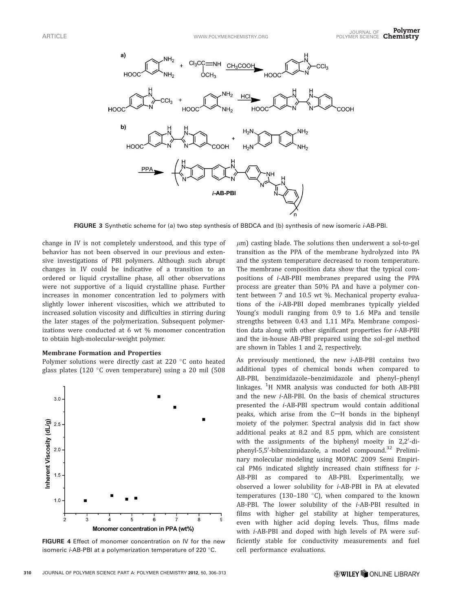

FIGURE 3 Synthetic scheme for (a) two step synthesis of BBDCA and (b) synthesis of new isomeric i-AB-PBI.

change in IV is not completely understood, and this type of behavior has not been observed in our previous and extensive investigations of PBI polymers. Although such abrupt changes in IV could be indicative of a transition to an ordered or liquid crystalline phase, all other observations were not supportive of a liquid crystalline phase. Further increases in monomer concentration led to polymers with slightly lower inherent viscosities, which we attributed to increased solution viscosity and difficulties in stirring during the later stages of the polymerization. Subsequent polymerizations were conducted at 6 wt % monomer concentration to obtain high-molecular-weight polymer.

#### Membrane Formation and Properties

Polymer solutions were directly cast at 220 °C onto heated glass plates (120 $\degree$ C oven temperature) using a 20 mil (508



FIGURE 4 Effect of monomer concentration on IV for the new isomeric *i*-AB-PBI at a polymerization temperature of 220 $\degree$ C.

 $\mu$ m) casting blade. The solutions then underwent a sol-to-gel transition as the PPA of the membrane hydrolyzed into PA and the system temperature decreased to room temperature. The membrane composition data show that the typical compositions of i-AB-PBI membranes prepared using the PPA process are greater than 50% PA and have a polymer content between 7 and 10.5 wt %. Mechanical property evaluations of the i-AB-PBI doped membranes typically yielded Young's moduli ranging from 0.9 to 1.6 MPa and tensile strengths between 0.43 and 1.11 MPa. Membrane composition data along with other significant properties for i-AB-PBI and the in-house AB-PBI prepared using the sol–gel method are shown in Tables 1 and 2, respectively.

As previously mentioned, the new i-AB-PBI contains two additional types of chemical bonds when compared to AB-PBI, benzimidazole–benzimidazole and phenyl–phenyl linkages. <sup>1</sup>H NMR analysis was conducted for both AB-PBI and the new i-AB-PBI. On the basis of chemical structures presented the i-AB-PBI spectrum would contain additional peaks, which arise from the  $C-H$  bonds in the biphenyl moiety of the polymer. Spectral analysis did in fact show additional peaks at 8.2 and 8.5 ppm, which are consistent with the assignments of the biphenyl moeity in 2,2'-diphenyl-5,5'-bibenzimidazole, a model compound.<sup>32</sup> Preliminary molecular modeling using MOPAC 2009 Semi Empirical PM6 indicated slightly increased chain stiffness for i-AB-PBI as compared to AB-PBI. Experimentally, we observed a lower solubility for i-AB-PBI in PA at elevated temperatures (130-180  $^{\circ}$ C), when compared to the known AB-PBI. The lower solubility of the *i*-AB-PBI resulted in films with higher gel stability at higher temperatures, even with higher acid doping levels. Thus, films made with i-AB-PBI and doped with high levels of PA were sufficiently stable for conductivity measurements and fuel cell performance evaluations.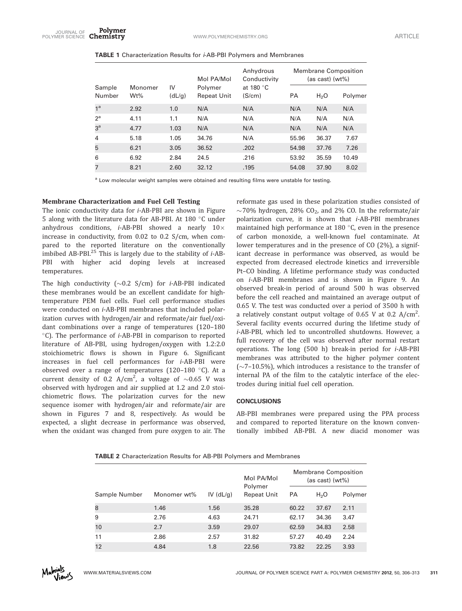| Sample<br>Number | Monomer<br>$Wt\%$ | IV<br>(dL/g) | Mol PA/Mol<br>Polymer<br><b>Repeat Unit</b> | Anhydrous<br>Conductivity<br>at 180 °C<br>(S/cm) | <b>Membrane Composition</b><br>(as cast) (wt%) |                  |         |
|------------------|-------------------|--------------|---------------------------------------------|--------------------------------------------------|------------------------------------------------|------------------|---------|
|                  |                   |              |                                             |                                                  | <b>PA</b>                                      | H <sub>2</sub> O | Polymer |
| 1 <sup>a</sup>   | 2.92              | 1.0          | N/A                                         | N/A                                              | N/A                                            | N/A              | N/A     |
| $2^a$            | 4.11              | 1.1          | N/A                                         | N/A                                              | N/A                                            | N/A              | N/A     |
| 3 <sup>a</sup>   | 4.77              | 1.03         | N/A                                         | N/A                                              | N/A                                            | N/A              | N/A     |
| 4                | 5.18              | 1.05         | 34.76                                       | N/A                                              | 55.96                                          | 36.37            | 7.67    |
| 5                | 6.21              | 3.05         | 36.52                                       | .202                                             | 54.98                                          | 37.76            | 7.26    |
| 6                | 6.92              | 2.84         | 24.5                                        | .216                                             | 53.92                                          | 35.59            | 10.49   |
| 7                | 8.21              | 2.60         | 32.12                                       | .195                                             | 54.08                                          | 37.90            | 8.02    |

<sup>a</sup> Low molecular weight samples were obtained and resulting films were unstable for testing.

# Membrane Characterization and Fuel Cell Testing

The ionic conductivity data for i-AB-PBI are shown in Figure 5 along with the literature data for AB-PBI. At 180  $\degree$ C under anhydrous conditions,  $i$ -AB-PBI showed a nearly  $10 \times$ increase in conductivity, from 0.02 to 0.2 S/cm, when compared to the reported literature on the conventionally imbibed AB-PBI. $^{25}$  This is largely due to the stability of  $i$ -AB-PBI with higher acid doping levels at increased temperatures.

The high conductivity  $(\sim 0.2 \text{ S/cm})$  for *i*-AB-PBI indicated these membranes would be an excellent candidate for hightemperature PEM fuel cells. Fuel cell performance studies were conducted on i-AB-PBI membranes that included polarization curves with hydrogen/air and reformate/air fuel/oxidant combinations over a range of temperatures (120–180  $^{\circ}$ C). The performance of *i*-AB-PBI in comparison to reported literature of AB-PBI, using hydrogen/oxygen with 1.2:2.0 stoichiometric flows is shown in Figure 6. Significant increases in fuel cell performances for i-AB-PBI were observed over a range of temperatures (120-180  $^{\circ}$ C). At a current density of 0.2 A/cm<sup>2</sup>, a voltage of  $\sim$ 0.65 V was observed with hydrogen and air supplied at 1.2 and 2.0 stoichiometric flows. The polarization curves for the new sequence isomer with hydrogen/air and reformate/air are shown in Figures 7 and 8, respectively. As would be expected, a slight decrease in performance was observed, when the oxidant was changed from pure oxygen to air. The

reformate gas used in these polarization studies consisted of  $\sim$ 70% hydrogen, 28% CO<sub>2</sub>, and 2% CO. In the reformate/air polarization curve, it is shown that i-AB-PBI membranes maintained high performance at 180 $\degree$ C, even in the presence of carbon monoxide, a well-known fuel contaminate. At lower temperatures and in the presence of CO (2%), a significant decrease in performance was observed, as would be expected from decreased electrode kinetics and irreversible Pt–CO binding. A lifetime performance study was conducted on i-AB-PBI membranes and is shown in Figure 9. An observed break-in period of around 500 h was observed before the cell reached and maintained an average output of 0.65 V. The test was conducted over a period of 3500 h with a relatively constant output voltage of 0.65 V at 0.2  $A/cm^2$ . . Several facility events occurred during the lifetime study of i-AB-PBI, which led to uncontrolled shutdowns. However, a full recovery of the cell was observed after normal restart operations. The long (500 h) break-in period for i-AB-PBI membranes was attributed to the higher polymer content  $(\sim$ 7–10.5%), which introduces a resistance to the transfer of internal PA of the film to the catalytic interface of the electrodes during initial fuel cell operation.

# **CONCLUSIONS**

AB-PBI membranes were prepared using the PPA process and compared to reported literature on the known conventionally imbibed AB-PBI. A new diacid monomer was

| <b>TABLE 2</b> Characterization Results for AB-PBI Polymers and Membranes |  |  |
|---------------------------------------------------------------------------|--|--|
|                                                                           |  |  |

|               |             |             | Mol PA/Mol<br>Polymer | <b>Membrane Composition</b><br>(as cast) (wt%) |                  |         |
|---------------|-------------|-------------|-----------------------|------------------------------------------------|------------------|---------|
| Sample Number | Monomer wt% | IV $(dL/q)$ | <b>Repeat Unit</b>    | PA                                             | H <sub>2</sub> O | Polymer |
| 8             | 1.46        | 1.56        | 35.28                 | 60.22                                          | 37.67            | 2.11    |
| 9             | 2.76        | 4.63        | 24.71                 | 62.17                                          | 34.36            | 3.47    |
| 10            | 2.7         | 3.59        | 29.07                 | 62.59                                          | 34.83            | 2.58    |
| 11            | 2.86        | 2.57        | 31.82                 | 57.27                                          | 40.49            | 2.24    |
| 12            | 4.84        | 1.8         | 22.56                 | 73.82                                          | 22.25            | 3.93    |

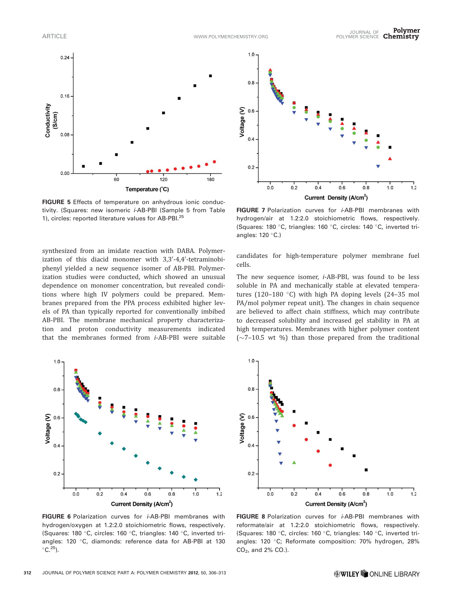

FIGURE 5 Effects of temperature on anhydrous ionic conductivity. (Squares: new isomeric i-AB-PBI (Sample 5 from Table 1), circles: reported literature values for AB-PBI.<sup>25</sup>

synthesized from an imidate reaction with DABA. Polymerization of this diacid monomer with 3,3'-4,4'-tetraminobiphenyl yielded a new sequence isomer of AB-PBI. Polymerization studies were conducted, which showed an unusual dependence on monomer concentration, but revealed conditions where high IV polymers could be prepared. Membranes prepared from the PPA process exhibited higher levels of PA than typically reported for conventionally imbibed AB-PBI. The membrane mechanical property characterization and proton conductivity measurements indicated that the membranes formed from i-AB-PBI were suitable



FIGURE 6 Polarization curves for *i*-AB-PBI membranes with hydrogen/oxygen at 1.2:2.0 stoichiometric flows, respectively. (Squares: 180 °C, circles: 160 °C, triangles: 140 °C, inverted triangles: 120 °C, diamonds: reference data for AB-PBI at 130  $\mathrm{^{\circ}C.^{25}}$ ).



FIGURE 7 Polarization curves for *i*-AB-PBI membranes with hydrogen/air at 1.2:2.0 stoichiometric flows, respectively. (Squares: 180 °C, triangles: 160 °C, circles: 140 °C, inverted triangles:  $120 °C$ .)

candidates for high-temperature polymer membrane fuel cells.

The new sequence isomer, i-AB-PBI, was found to be less soluble in PA and mechanically stable at elevated temperatures (120-180 °C) with high PA doping levels (24-35 mol PA/mol polymer repeat unit). The changes in chain sequence are believed to affect chain stiffness, which may contribute to decreased solubility and increased gel stability in PA at high temperatures. Membranes with higher polymer content  $(\sim$ 7–10.5 wt %) than those prepared from the traditional



FIGURE 8 Polarization curves for *i*-AB-PBI membranes with reformate/air at 1.2:2.0 stoichiometric flows, respectively. (Squares: 180 °C, circles: 160 °C, triangles: 140 °C, inverted triangles: 120 °C; Reformate composition: 70% hydrogen, 28% CO2, and 2% CO.).